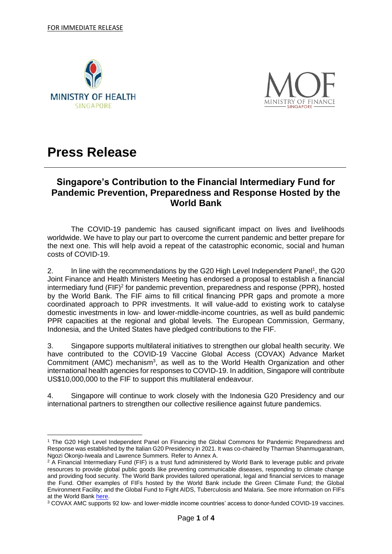



# **Press Release**

## **Singapore's Contribution to the Financial Intermediary Fund for Pandemic Prevention, Preparedness and Response Hosted by the World Bank**

The COVID-19 pandemic has caused significant impact on lives and livelihoods worldwide. We have to play our part to overcome the current pandemic and better prepare for the next one. This will help avoid a repeat of the catastrophic economic, social and human costs of COVID-19.

2. In line with the recommendations by the G20 High Level Independent Panel<sup>1</sup>, the G20 Joint Finance and Health Ministers Meeting has endorsed a proposal to establish a financial intermediary fund (FIF)<sup>2</sup> for pandemic prevention, preparedness and response (PPR), hosted by the World Bank. The FIF aims to fill critical financing PPR gaps and promote a more coordinated approach to PPR investments. It will value-add to existing work to catalyse domestic investments in low- and lower-middle-income countries, as well as build pandemic PPR capacities at the regional and global levels. The European Commission, Germany, Indonesia, and the United States have pledged contributions to the FIF.

3. Singapore supports multilateral initiatives to strengthen our global health security. We have contributed to the COVID-19 Vaccine Global Access (COVAX) Advance Market Commitment (AMC) mechanism<sup>3</sup>, as well as to the World Health Organization and other international health agencies for responses to COVID-19. In addition, Singapore will contribute US\$10,000,000 to the FIF to support this multilateral endeavour.

4. Singapore will continue to work closely with the Indonesia G20 Presidency and our international partners to strengthen our collective resilience against future pandemics.

<sup>1</sup> The G20 High Level Independent Panel on Financing the Global Commons for Pandemic Preparedness and Response was established by the Italian G20 Presidency in 2021. It was co-chaired by Tharman Shanmugaratnam, Ngozi Okonjo-Iweala and Lawrence Summers. Refer to Annex A.

<sup>&</sup>lt;sup>2</sup> A Financial Intermediary Fund (FIF) is a trust fund administered by World Bank to leverage public and private resources to provide global public goods like preventing communicable diseases, responding to climate change and providing food security. The World Bank provides tailored operational, legal and financial services to manage the Fund. Other examples of FIFs hosted by the World Bank include the Green Climate Fund; the Global Environment Facility; and the Global Fund to Fight AIDS, Tuberculosis and Malaria. See more information on FIFs at the World Bank [here.](https://fiftrustee.worldbank.org/en/about/unit/dfi/fiftrustee/overview)

<sup>3</sup> COVAX AMC supports 92 low- and lower-middle income countries' access to donor-funded COVID-19 vaccines.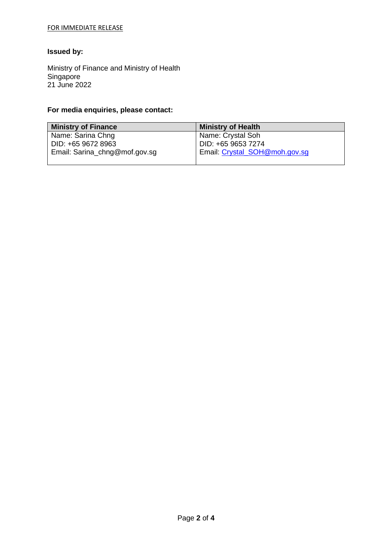### FOR IMMEDIATE RELEASE

## **Issued by:**

Ministry of Finance and Ministry of Health Singapore 21 June 2022

## **For media enquiries, please contact:**

| <b>Ministry of Finance</b>    | <b>Ministry of Health</b>     |
|-------------------------------|-------------------------------|
| Name: Sarina Chng             | Name: Crystal Soh             |
| DID: +65 9672 8963            | DID: +65 9653 7274            |
| Email: Sarina_chng@mof.gov.sg | Email: Crystal_SOH@moh.gov.sg |
|                               |                               |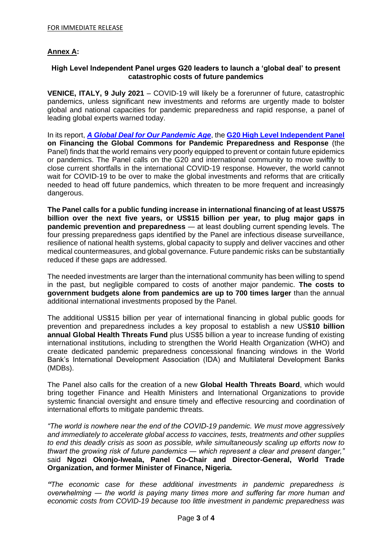## **Annex A:**

### **High Level Independent Panel urges G20 leaders to launch a 'global deal' to present catastrophic costs of future pandemics**

**VENICE, ITALY, 9 July 2021** – COVID-19 will likely be a forerunner of future, catastrophic pandemics, unless significant new investments and reforms are urgently made to bolster global and national capacities for pandemic preparedness and rapid response, a panel of leading global experts warned today.

In its report, *[A Global Deal for Our Pandemic Age](http://www.pandemic-financing.org/)*, the **[G20 High Level Independent Panel](http://www.pandemic-financing.org/about-us) on Financing the Global Commons for Pandemic Preparedness and Response** (the Panel) finds that the world remains very poorly equipped to prevent or contain future epidemics or pandemics. The Panel calls on the G20 and international community to move swiftly to close current shortfalls in the international COVID-19 response. However, the world cannot wait for COVID-19 to be over to make the global investments and reforms that are critically needed to head off future pandemics, which threaten to be more frequent and increasingly dangerous.

**The Panel calls for a public funding increase in international financing of at least US\$75 billion over the next five years, or US\$15 billion per year, to plug major gaps in pandemic prevention and preparedness** — at least doubling current spending levels. The four pressing preparedness gaps identified by the Panel are infectious disease surveillance, resilience of national health systems, global capacity to supply and deliver vaccines and other medical countermeasures, and global governance. Future pandemic risks can be substantially reduced if these gaps are addressed.

The needed investments are larger than the international community has been willing to spend in the past, but negligible compared to costs of another major pandemic. **The costs to government budgets alone from pandemics are up to 700 times larger** than the annual additional international investments proposed by the Panel.

The additional US\$15 billion per year of international financing in global public goods for prevention and preparedness includes a key proposal to establish a new US**\$10 billion annual Global Health Threats Fund** plus US\$5 billion a year to increase funding of existing international institutions, including to strengthen the World Health Organization (WHO) and create dedicated pandemic preparedness concessional financing windows in the World Bank's International Development Association (IDA) and Multilateral Development Banks (MDBs).

The Panel also calls for the creation of a new **Global Health Threats Board**, which would bring together Finance and Health Ministers and International Organizations to provide systemic financial oversight and ensure timely and effective resourcing and coordination of international efforts to mitigate pandemic threats.

*"The world is nowhere near the end of the COVID-19 pandemic. We must move aggressively and immediately to accelerate global access to vaccines, tests, treatments and other supplies to end this deadly crisis as soon as possible, while simultaneously scaling up efforts now to thwart the growing risk of future pandemics ― which represent a clear and present danger,"*  said **Ngozi Okonjo-Iweala, Panel Co-Chair and Director-General, World Trade Organization, and former Minister of Finance, Nigeria.**

*"The economic case for these additional investments in pandemic preparedness is overwhelming ― the world is paying many times more and suffering far more human and economic costs from COVID-19 because too little investment in pandemic preparedness was*